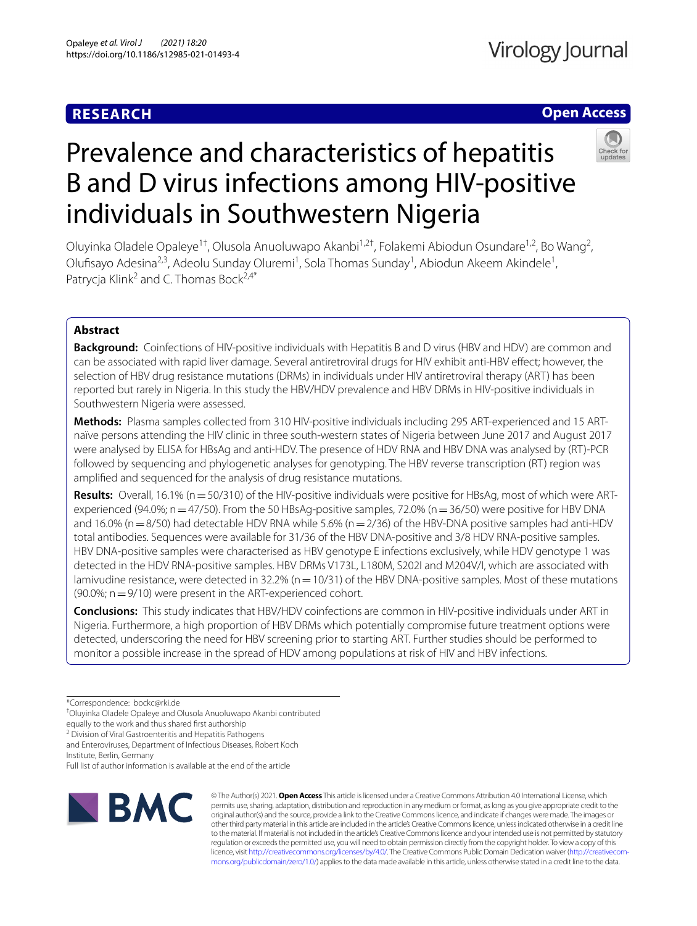# **RESEARCH**

# **Open Access**



# Prevalence and characteristics of hepatitis B and D virus infections among HIV-positive individuals in Southwestern Nigeria

Oluyinka Oladele Opaleye<sup>1†</sup>, Olusola Anuoluwapo Akanbi<sup>1,2†</sup>, Folakemi Abiodun Osundare<sup>1,2</sup>, Bo Wang<sup>2</sup>, Olufisayo Adesina<sup>2,3</sup>, Adeolu Sunday Oluremi<sup>1</sup>, Sola Thomas Sunday<sup>1</sup>, Abiodun Akeem Akindele<sup>1</sup>, Patrycja Klink<sup>2</sup> and C. Thomas Bock<sup>2,4\*</sup>

# **Abstract**

**Background:** Coinfections of HIV-positive individuals with Hepatitis B and D virus (HBV and HDV) are common and can be associated with rapid liver damage. Several antiretroviral drugs for HIV exhibit anti-HBV efect; however, the selection of HBV drug resistance mutations (DRMs) in individuals under HIV antiretroviral therapy (ART) has been reported but rarely in Nigeria. In this study the HBV/HDV prevalence and HBV DRMs in HIV-positive individuals in Southwestern Nigeria were assessed.

**Methods:** Plasma samples collected from 310 HIV-positive individuals including 295 ART-experienced and 15 ARTnaïve persons attending the HIV clinic in three south-western states of Nigeria between June 2017 and August 2017 were analysed by ELISA for HBsAg and anti-HDV. The presence of HDV RNA and HBV DNA was analysed by (RT)-PCR followed by sequencing and phylogenetic analyses for genotyping. The HBV reverse transcription (RT) region was amplifed and sequenced for the analysis of drug resistance mutations.

**Results:** Overall, 16.1% (n=50/310) of the HIV-positive individuals were positive for HBsAg, most of which were ARTexperienced (94.0%; n = 47/50). From the 50 HBsAg-positive samples, 72.0% (n = 36/50) were positive for HBV DNA and 16.0% ( $n=8/50$ ) had detectable HDV RNA while 5.6% ( $n=2/36$ ) of the HBV-DNA positive samples had anti-HDV total antibodies. Sequences were available for 31/36 of the HBV DNA-positive and 3/8 HDV RNA-positive samples. HBV DNA-positive samples were characterised as HBV genotype E infections exclusively, while HDV genotype 1 was detected in the HDV RNA-positive samples. HBV DRMs V173L, L180M, S202I and M204V/I, which are associated with lamivudine resistance, were detected in 32.2% ( $n=10/31$ ) of the HBV DNA-positive samples. Most of these mutations  $(90.0\%; n=9/10)$  were present in the ART-experienced cohort.

**Conclusions:** This study indicates that HBV/HDV coinfections are common in HIV-positive individuals under ART in Nigeria. Furthermore, a high proportion of HBV DRMs which potentially compromise future treatment options were detected, underscoring the need for HBV screening prior to starting ART. Further studies should be performed to monitor a possible increase in the spread of HDV among populations at risk of HIV and HBV infections.

\*Correspondence: bockc@rki.de

† Oluyinka Oladele Opaleye and Olusola Anuoluwapo Akanbi contributed

equally to the work and thus shared frst authorship

<sup>2</sup> Division of Viral Gastroenteritis and Hepatitis Pathogens and Enteroviruses, Department of Infectious Diseases, Robert Koch

Institute, Berlin, Germany

Full list of author information is available at the end of the article



© The Author(s) 2021. **Open Access** This article is licensed under a Creative Commons Attribution 4.0 International License, which permits use, sharing, adaptation, distribution and reproduction in any medium or format, as long as you give appropriate credit to the original author(s) and the source, provide a link to the Creative Commons licence, and indicate if changes were made. The images or other third party material in this article are included in the article's Creative Commons licence, unless indicated otherwise in a credit line to the material. If material is not included in the article's Creative Commons licence and your intended use is not permitted by statutory regulation or exceeds the permitted use, you will need to obtain permission directly from the copyright holder. To view a copy of this licence, visit [http://creativecommons.org/licenses/by/4.0/.](http://creativecommons.org/licenses/by/4.0/) The Creative Commons Public Domain Dedication waiver ([http://creativecom](http://creativecommons.org/publicdomain/zero/1.0/)[mons.org/publicdomain/zero/1.0/\)](http://creativecommons.org/publicdomain/zero/1.0/) applies to the data made available in this article, unless otherwise stated in a credit line to the data.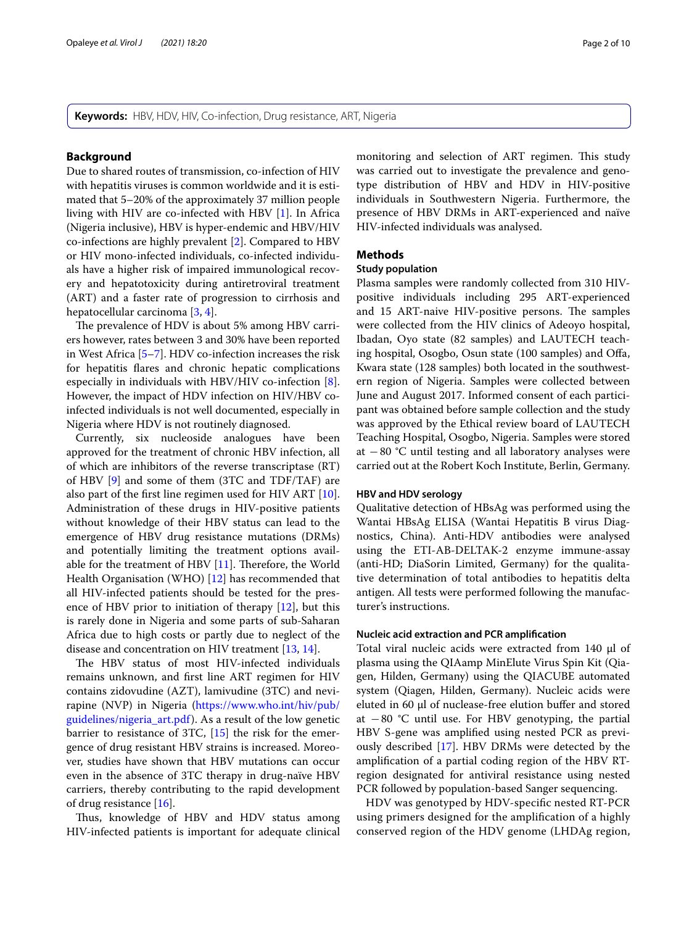**Keywords:** HBV, HDV, HIV, Co-infection, Drug resistance, ART, Nigeria

# **Background**

Due to shared routes of transmission, co-infection of HIV with hepatitis viruses is common worldwide and it is estimated that 5–20% of the approximately 37 million people living with HIV are co-infected with HBV [\[1](#page-8-0)]. In Africa (Nigeria inclusive), HBV is hyper-endemic and HBV/HIV co-infections are highly prevalent [\[2](#page-8-1)]. Compared to HBV or HIV mono-infected individuals, co-infected individuals have a higher risk of impaired immunological recovery and hepatotoxicity during antiretroviral treatment (ART) and a faster rate of progression to cirrhosis and hepatocellular carcinoma [[3,](#page-8-2) [4](#page-8-3)].

The prevalence of HDV is about 5% among HBV carriers however, rates between 3 and 30% have been reported in West Africa [\[5–](#page-8-4)[7\]](#page-8-5). HDV co-infection increases the risk for hepatitis fares and chronic hepatic complications especially in individuals with HBV/HIV co-infection [\[8](#page-8-6)]. However, the impact of HDV infection on HIV/HBV coinfected individuals is not well documented, especially in Nigeria where HDV is not routinely diagnosed.

Currently, six nucleoside analogues have been approved for the treatment of chronic HBV infection, all of which are inhibitors of the reverse transcriptase (RT) of HBV [\[9](#page-8-7)] and some of them (3TC and TDF/TAF) are also part of the frst line regimen used for HIV ART [\[10](#page-8-8)]. Administration of these drugs in HIV-positive patients without knowledge of their HBV status can lead to the emergence of HBV drug resistance mutations (DRMs) and potentially limiting the treatment options available for the treatment of HBV  $[11]$  $[11]$ . Therefore, the World Health Organisation (WHO) [[12](#page-8-10)] has recommended that all HIV-infected patients should be tested for the presence of HBV prior to initiation of therapy [[12\]](#page-8-10), but this is rarely done in Nigeria and some parts of sub-Saharan Africa due to high costs or partly due to neglect of the disease and concentration on HIV treatment [\[13,](#page-8-11) [14](#page-8-12)].

The HBV status of most HIV-infected individuals remains unknown, and frst line ART regimen for HIV contains zidovudine (AZT), lamivudine (3TC) and nevirapine (NVP) in Nigeria [\(https://www.who.int/hiv/pub/](https://www.who.int/hiv/pub/guidelines/nigeria_art.pdf) [guidelines/nigeria\\_art.pdf](https://www.who.int/hiv/pub/guidelines/nigeria_art.pdf)). As a result of the low genetic barrier to resistance of 3TC, [[15\]](#page-8-13) the risk for the emergence of drug resistant HBV strains is increased. Moreover, studies have shown that HBV mutations can occur even in the absence of 3TC therapy in drug-naïve HBV carriers, thereby contributing to the rapid development of drug resistance [[16](#page-8-14)].

Thus, knowledge of HBV and HDV status among HIV-infected patients is important for adequate clinical monitoring and selection of ART regimen. This study was carried out to investigate the prevalence and genotype distribution of HBV and HDV in HIV-positive individuals in Southwestern Nigeria. Furthermore, the presence of HBV DRMs in ART-experienced and naïve HIV-infected individuals was analysed.

# **Methods**

# **Study population**

Plasma samples were randomly collected from 310 HIVpositive individuals including 295 ART-experienced and 15 ART-naive HIV-positive persons. The samples were collected from the HIV clinics of Adeoyo hospital, Ibadan, Oyo state (82 samples) and LAUTECH teaching hospital, Osogbo, Osun state (100 samples) and Ofa, Kwara state (128 samples) both located in the southwestern region of Nigeria. Samples were collected between June and August 2017. Informed consent of each participant was obtained before sample collection and the study was approved by the Ethical review board of LAUTECH Teaching Hospital, Osogbo, Nigeria. Samples were stored at −80 °C until testing and all laboratory analyses were carried out at the Robert Koch Institute, Berlin, Germany.

## **HBV and HDV serology**

Qualitative detection of HBsAg was performed using the Wantai HBsAg ELISA (Wantai Hepatitis B virus Diagnostics, China). Anti-HDV antibodies were analysed using the ETI-AB-DELTAK-2 enzyme immune-assay (anti-HD; DiaSorin Limited, Germany) for the qualitative determination of total antibodies to hepatitis delta antigen. All tests were performed following the manufacturer's instructions.

# **Nucleic acid extraction and PCR amplifcation**

Total viral nucleic acids were extracted from 140 μl of plasma using the QIAamp MinElute Virus Spin Kit (Qiagen, Hilden, Germany) using the QIACUBE automated system (Qiagen, Hilden, Germany). Nucleic acids were eluted in 60 µl of nuclease-free elution buffer and stored at −80 °C until use. For HBV genotyping, the partial HBV S-gene was amplifed using nested PCR as previously described [[17](#page-8-15)]. HBV DRMs were detected by the amplifcation of a partial coding region of the HBV RTregion designated for antiviral resistance using nested PCR followed by population-based Sanger sequencing.

HDV was genotyped by HDV-specifc nested RT-PCR using primers designed for the amplifcation of a highly conserved region of the HDV genome (LHDAg region,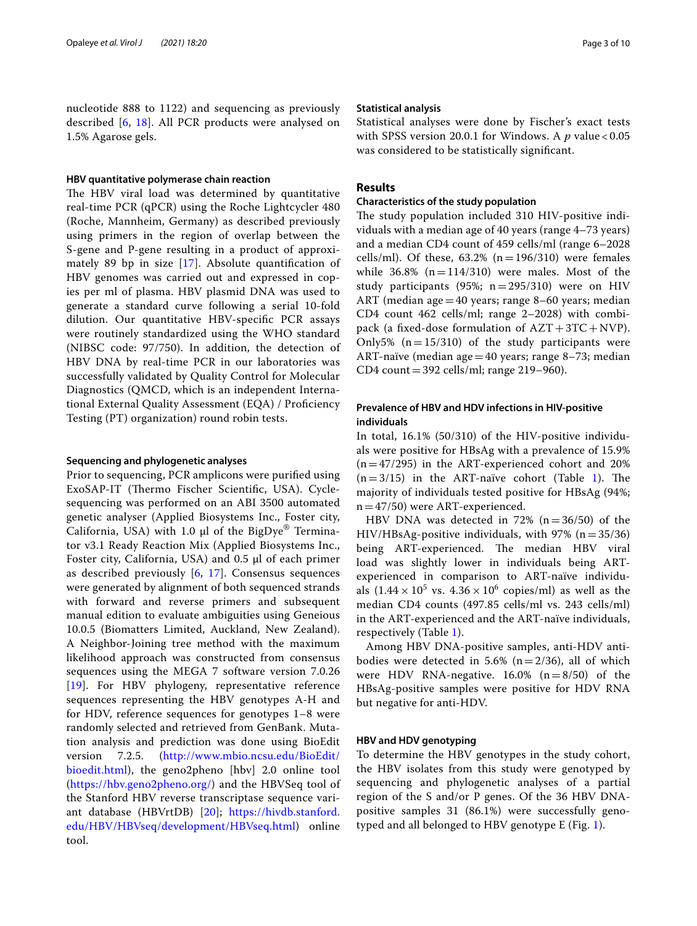nucleotide 888 to 1122) and sequencing as previously described [[6,](#page-8-16) [18](#page-8-17)]. All PCR products were analysed on 1.5% Agarose gels.

# **HBV quantitative polymerase chain reaction**

The HBV viral load was determined by quantitative real-time PCR (qPCR) using the Roche Lightcycler 480 (Roche, Mannheim, Germany) as described previously using primers in the region of overlap between the S-gene and P-gene resulting in a product of approximately 89 bp in size [[17](#page-8-15)]. Absolute quantifcation of HBV genomes was carried out and expressed in copies per ml of plasma. HBV plasmid DNA was used to generate a standard curve following a serial 10-fold dilution. Our quantitative HBV-specifc PCR assays were routinely standardized using the WHO standard (NIBSC code: 97/750). In addition, the detection of HBV DNA by real-time PCR in our laboratories was successfully validated by Quality Control for Molecular Diagnostics (QMCD, which is an independent International External Quality Assessment (EQA) / Profciency Testing (PT) organization) round robin tests.

### **Sequencing and phylogenetic analyses**

Prior to sequencing, PCR amplicons were purifed using ExoSAP-IT (Thermo Fischer Scientific, USA). Cyclesequencing was performed on an ABI 3500 automated genetic analyser (Applied Biosystems Inc., Foster city, California, USA) with 1.0  $\mu$ l of the BigDye<sup>®</sup> Terminator v3.1 Ready Reaction Mix (Applied Biosystems Inc., Foster city, California, USA) and 0.5 μl of each primer as described previously  $[6, 17]$  $[6, 17]$  $[6, 17]$  $[6, 17]$ . Consensus sequences were generated by alignment of both sequenced strands with forward and reverse primers and subsequent manual edition to evaluate ambiguities using Geneious 10.0.5 (Biomatters Limited, Auckland, New Zealand). A Neighbor-Joining tree method with the maximum likelihood approach was constructed from consensus sequences using the MEGA 7 software version 7.0.26 [[19](#page-8-18)]. For HBV phylogeny, representative reference sequences representing the HBV genotypes A-H and for HDV, reference sequences for genotypes 1–8 were randomly selected and retrieved from GenBank. Mutation analysis and prediction was done using BioEdit version 7.2.5. [\(http://www.mbio.ncsu.edu/BioEdit/](http://www.mbio.ncsu.edu/BioEdit/bioedit.html) [bioedit.html\)](http://www.mbio.ncsu.edu/BioEdit/bioedit.html), the geno2pheno [hbv] 2.0 online tool ([https://hbv.geno2pheno.org/\)](https://hbv.geno2pheno.org/) and the HBVSeq tool of the Stanford HBV reverse transcriptase sequence variant database (HBVrtDB) [\[20](#page-8-19)]; [https://hivdb.stanford.](https://hivdb.stanford.edu/HBV/HBVseq/development/HBVseq.html) [edu/HBV/HBVseq/development/HBVseq.html\)](https://hivdb.stanford.edu/HBV/HBVseq/development/HBVseq.html) online tool.

## **Statistical analysis**

Statistical analyses were done by Fischer's exact tests with SPSS version 20.0.1 for Windows. A *p* value < 0.05 was considered to be statistically signifcant.

# **Results**

# **Characteristics of the study population**

The study population included 310 HIV-positive individuals with a median age of 40 years (range 4–73 years) and a median CD4 count of 459 cells/ml (range 6–2028 cells/ml). Of these,  $63.2\%$  (n = 196/310) were females while  $36.8\%$  (n = 114/310) were males. Most of the study participants (95%;  $n=295/310$ ) were on HIV ART (median age=40 years; range 8–60 years; median CD4 count 462 cells/ml; range 2–2028) with combipack (a fixed-dose formulation of  $AZT+3TC+NVP$ ). Only5% ( $n=15/310$ ) of the study participants were ART-naïve (median age=40 years; range 8–73; median CD4 count=392 cells/ml; range 219–960).

# **Prevalence of HBV and HDV infections in HIV‑positive individuals**

In total, 16.1% (50/310) of the HIV-positive individuals were positive for HBsAg with a prevalence of 15.9%  $(n=47/295)$  in the ART-experienced cohort and 20%  $(n=3/15)$  in the ART-naïve cohort (Table [1\)](#page-3-0). The majority of individuals tested positive for HBsAg (94%;  $n=47/50$ ) were ART-experienced.

HBV DNA was detected in 72%  $(n=36/50)$  of the HIV/HBsAg-positive individuals, with 97% ( $n=35/36$ ) being ART-experienced. The median HBV viral load was slightly lower in individuals being ARTexperienced in comparison to ART-naïve individuals  $(1.44 \times 10^5 \text{ vs. } 4.36 \times 10^6 \text{ copies/ml})$  as well as the median CD4 counts (497.85 cells/ml vs. 243 cells/ml) in the ART-experienced and the ART-naïve individuals, respectively (Table [1](#page-3-0)).

Among HBV DNA-positive samples, anti-HDV antibodies were detected in 5.6% ( $n=2/36$ ), all of which were HDV RNA-negative.  $16.0\%$  (n = 8/50) of the HBsAg-positive samples were positive for HDV RNA but negative for anti-HDV.

# **HBV and HDV genotyping**

To determine the HBV genotypes in the study cohort, the HBV isolates from this study were genotyped by sequencing and phylogenetic analyses of a partial region of the S and/or P genes. Of the 36 HBV DNApositive samples 31 (86.1%) were successfully genotyped and all belonged to HBV genotype E (Fig. [1\)](#page-3-1).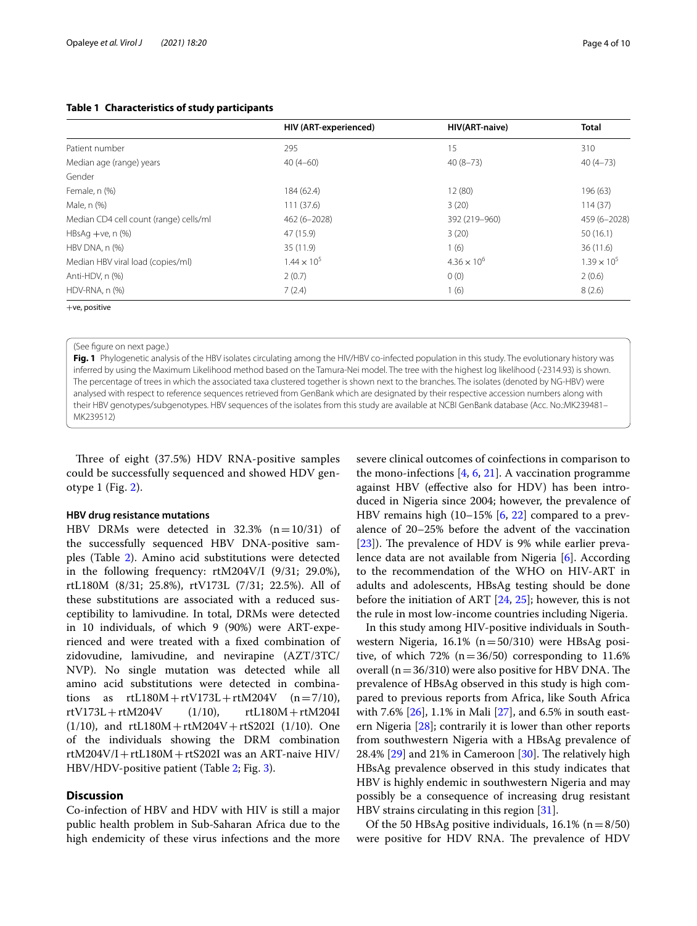<span id="page-3-0"></span>

| Table 1 Characteristics of study participants |
|-----------------------------------------------|
|                                               |

|                                        | HIV (ART-experienced) | HIV(ART-naive)       | <b>Total</b>         |
|----------------------------------------|-----------------------|----------------------|----------------------|
| Patient number                         | 295                   | 15                   | 310                  |
| Median age (range) years               | $40(4-60)$            | $40(8-73)$           | $40(4-73)$           |
| Gender                                 |                       |                      |                      |
| Female, n (%)                          | 184 (62.4)            | 12(80)               | 196 (63)             |
| Male, n (%)                            | 111(37.6)             | 3(20)                | 114(37)              |
| Median CD4 cell count (range) cells/ml | 462 (6-2028)          | 392 (219-960)        | 459 (6-2028)         |
| HBsAg $+ve$ , n $(%$                   | 47 (15.9)             | 3(20)                | 50(16.1)             |
| HBV DNA, n (%)                         | 35 (11.9)             | 1(6)                 | 36(11.6)             |
| Median HBV viral load (copies/ml)      | $1.44 \times 10^{5}$  | $4.36 \times 10^{6}$ | $1.39 \times 10^{5}$ |
| Anti-HDV, n (%)                        | 2(0.7)                | 0(0)                 | 2(0.6)               |
| HDV-RNA, n (%)                         | 7(2.4)                | 1(6)                 | 8(2.6)               |
| $+ve$ , positive                       |                       |                      |                      |

#### (See fgure on next page.)

<span id="page-3-1"></span>Fig. 1 Phylogenetic analysis of the HBV isolates circulating among the HIV/HBV co-infected population in this study. The evolutionary history was inferred by using the Maximum Likelihood method based on the Tamura-Nei model. The tree with the highest log likelihood (-2314.93) is shown. The percentage of trees in which the associated taxa clustered together is shown next to the branches. The isolates (denoted by NG-HBV) were analysed with respect to reference sequences retrieved from GenBank which are designated by their respective accession numbers along with their HBV genotypes/subgenotypes. HBV sequences of the isolates from this study are available at NCBI GenBank database (Acc. No.:MK239481– MK239512)

Three of eight (37.5%) HDV RNA-positive samples could be successfully sequenced and showed HDV genotype 1 (Fig. [2](#page-5-0)).

# **HBV drug resistance mutations**

HBV DRMs were detected in 32.3% (n=10/31) of the successfully sequenced HBV DNA-positive samples (Table [2\)](#page-7-0). Amino acid substitutions were detected in the following frequency: rtM204V/I (9/31; 29.0%), rtL180M (8/31; 25.8%), rtV173L (7/31; 22.5%). All of these substitutions are associated with a reduced susceptibility to lamivudine. In total, DRMs were detected in 10 individuals, of which 9 (90%) were ART-experienced and were treated with a fxed combination of zidovudine, lamivudine, and nevirapine (AZT/3TC/ NVP). No single mutation was detected while all amino acid substitutions were detected in combinations as  $rtL180M + rtV173L + rtM204V$  (n=7/10),<br> $rtV173L + rtM204V$  (1/10),  $rtL180M + rtM204I$  $rtL180M + rtM204I$  $(1/10)$ , and rtL180M + rtM204V + rtS202I (1/10). One of the individuals showing the DRM combination rtM204V/I+rtL180M+rtS202I was an ART-naive HIV/ HBV/HDV-positive patient (Table [2](#page-7-0); Fig. [3](#page-7-1)).

# **Discussion**

Co-infection of HBV and HDV with HIV is still a major public health problem in Sub-Saharan Africa due to the high endemicity of these virus infections and the more

severe clinical outcomes of coinfections in comparison to the mono-infections  $[4, 6, 21]$  $[4, 6, 21]$  $[4, 6, 21]$  $[4, 6, 21]$  $[4, 6, 21]$  $[4, 6, 21]$ . A vaccination programme against HBV (efective also for HDV) has been introduced in Nigeria since 2004; however, the prevalence of HBV remains high (10–15% [\[6](#page-8-16), [22](#page-8-21)] compared to a prevalence of 20–25% before the advent of the vaccination  $[23]$  $[23]$ ). The prevalence of HDV is 9% while earlier prevalence data are not available from Nigeria [\[6](#page-8-16)]. According to the recommendation of the WHO on HIV-ART in adults and adolescents, HBsAg testing should be done before the initiation of ART [[24](#page-8-23), [25](#page-8-24)]; however, this is not the rule in most low-income countries including Nigeria.

In this study among HIV-positive individuals in Southwestern Nigeria,  $16.1\%$  (n=50/310) were HBsAg positive, of which 72% ( $n=36/50$ ) corresponding to 11.6% overall  $(n=36/310)$  were also positive for HBV DNA. The prevalence of HBsAg observed in this study is high compared to previous reports from Africa, like South Africa with 7.6% [\[26](#page-8-25)], 1.1% in Mali [\[27](#page-8-26)], and 6.5% in south east-ern Nigeria [[28\]](#page-8-27); contrarily it is lower than other reports from southwestern Nigeria with a HBsAg prevalence of 28.4%  $[29]$  and 21% in Cameroon  $[30]$  $[30]$ . The relatively high HBsAg prevalence observed in this study indicates that HBV is highly endemic in southwestern Nigeria and may possibly be a consequence of increasing drug resistant HBV strains circulating in this region [\[31](#page-8-30)].

Of the 50 HBsAg positive individuals,  $16.1\%$  (n = 8/50) were positive for HDV RNA. The prevalence of HDV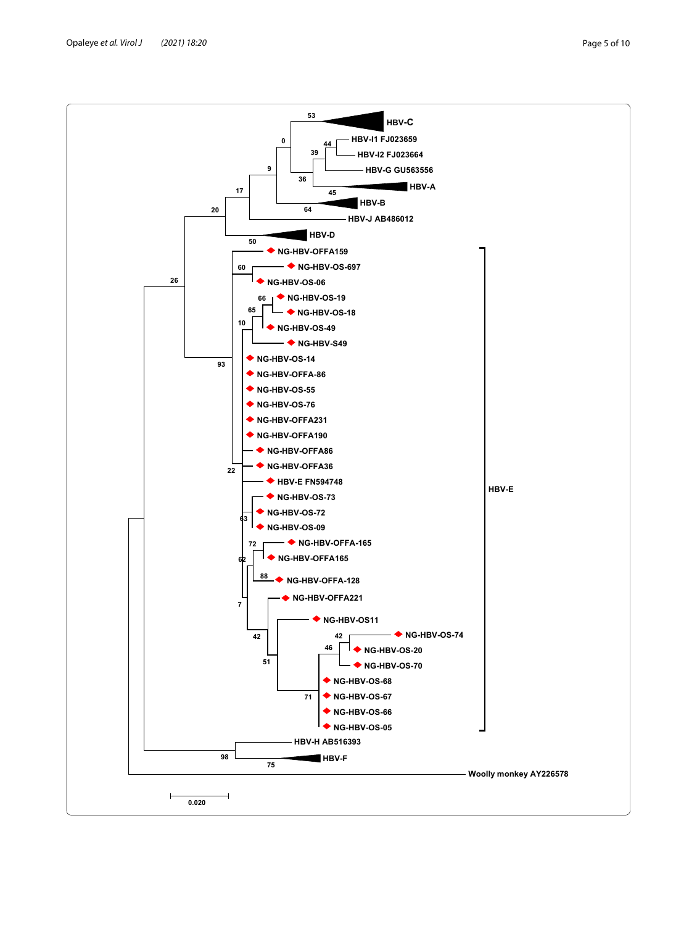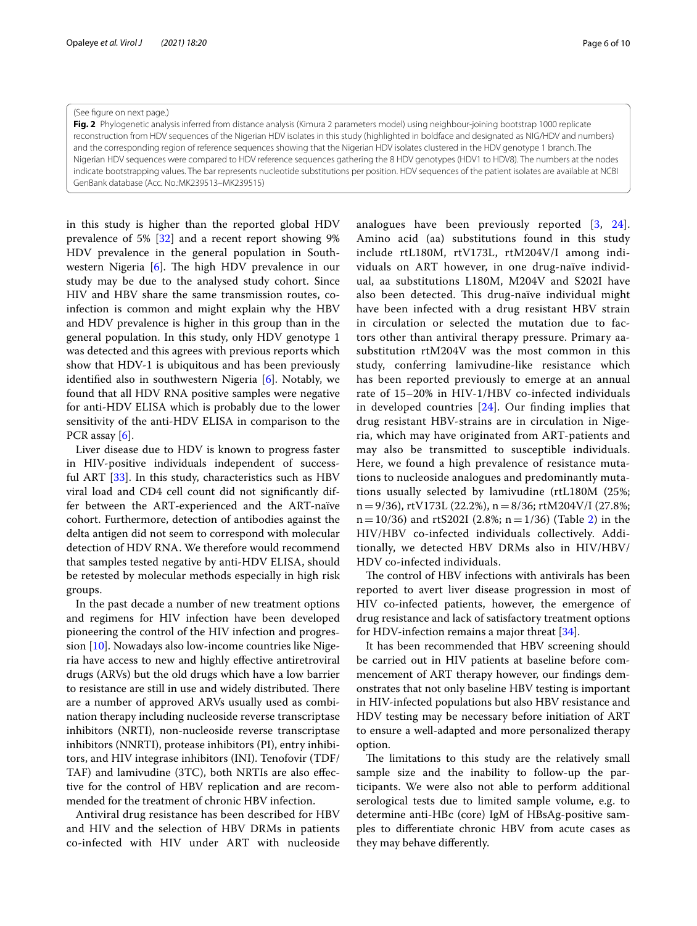#### (See fgure on next page.)

<span id="page-5-0"></span>**Fig. 2** Phylogenetic analysis inferred from distance analysis (Kimura 2 parameters model) using neighbour-joining bootstrap 1000 replicate reconstruction from HDV sequences of the Nigerian HDV isolates in this study (highlighted in boldface and designated as NIG/HDV and numbers) and the corresponding region of reference sequences showing that the Nigerian HDV isolates clustered in the HDV genotype 1 branch. The Nigerian HDV sequences were compared to HDV reference sequences gathering the 8 HDV genotypes (HDV1 to HDV8). The numbers at the nodes indicate bootstrapping values. The bar represents nucleotide substitutions per position. HDV sequences of the patient isolates are available at NCBI GenBank database (Acc. No.:MK239513–MK239515)

in this study is higher than the reported global HDV prevalence of 5% [[32\]](#page-9-0) and a recent report showing 9% HDV prevalence in the general population in Southwestern Nigeria  $[6]$  $[6]$ . The high HDV prevalence in our study may be due to the analysed study cohort. Since HIV and HBV share the same transmission routes, coinfection is common and might explain why the HBV and HDV prevalence is higher in this group than in the general population. In this study, only HDV genotype 1 was detected and this agrees with previous reports which show that HDV-1 is ubiquitous and has been previously identifed also in southwestern Nigeria [[6\]](#page-8-16). Notably, we found that all HDV RNA positive samples were negative for anti-HDV ELISA which is probably due to the lower sensitivity of the anti-HDV ELISA in comparison to the PCR assay [\[6](#page-8-16)].

Liver disease due to HDV is known to progress faster in HIV-positive individuals independent of successful ART [\[33\]](#page-9-1). In this study, characteristics such as HBV viral load and CD4 cell count did not signifcantly differ between the ART-experienced and the ART-naïve cohort. Furthermore, detection of antibodies against the delta antigen did not seem to correspond with molecular detection of HDV RNA. We therefore would recommend that samples tested negative by anti-HDV ELISA, should be retested by molecular methods especially in high risk groups.

In the past decade a number of new treatment options and regimens for HIV infection have been developed pioneering the control of the HIV infection and progression [\[10](#page-8-8)]. Nowadays also low-income countries like Nigeria have access to new and highly efective antiretroviral drugs (ARVs) but the old drugs which have a low barrier to resistance are still in use and widely distributed. There are a number of approved ARVs usually used as combination therapy including nucleoside reverse transcriptase inhibitors (NRTI), non-nucleoside reverse transcriptase inhibitors (NNRTI), protease inhibitors (PI), entry inhibitors, and HIV integrase inhibitors (INI). Tenofovir (TDF/ TAF) and lamivudine (3TC), both NRTIs are also efective for the control of HBV replication and are recommended for the treatment of chronic HBV infection.

Antiviral drug resistance has been described for HBV and HIV and the selection of HBV DRMs in patients co-infected with HIV under ART with nucleoside analogues have been previously reported [[3,](#page-8-2) [24](#page-8-23)]. Amino acid (aa) substitutions found in this study include rtL180M, rtV173L, rtM204V/I among individuals on ART however, in one drug-naïve individual, aa substitutions L180M, M204V and S202I have also been detected. This drug-naïve individual might have been infected with a drug resistant HBV strain in circulation or selected the mutation due to factors other than antiviral therapy pressure. Primary aasubstitution rtM204V was the most common in this study, conferring lamivudine-like resistance which has been reported previously to emerge at an annual rate of 15–20% in HIV-1/HBV co-infected individuals in developed countries [[24\]](#page-8-23). Our fnding implies that drug resistant HBV-strains are in circulation in Nigeria, which may have originated from ART-patients and may also be transmitted to susceptible individuals. Here, we found a high prevalence of resistance mutations to nucleoside analogues and predominantly mutations usually selected by lamivudine (rtL180M (25%;  $n=9/36$ , rtV173L (22.2%),  $n=8/36$ ; rtM204V/I (27.8%;  $n=10/36$ ) and rtS202I (2.8%;  $n=1/36$ ) (Table [2\)](#page-7-0) in the HIV/HBV co-infected individuals collectively. Additionally, we detected HBV DRMs also in HIV/HBV/ HDV co-infected individuals.

The control of HBV infections with antivirals has been reported to avert liver disease progression in most of HIV co-infected patients, however, the emergence of drug resistance and lack of satisfactory treatment options for HDV-infection remains a major threat [[34](#page-9-2)].

It has been recommended that HBV screening should be carried out in HIV patients at baseline before commencement of ART therapy however, our fndings demonstrates that not only baseline HBV testing is important in HIV-infected populations but also HBV resistance and HDV testing may be necessary before initiation of ART to ensure a well-adapted and more personalized therapy option.

The limitations to this study are the relatively small sample size and the inability to follow-up the participants. We were also not able to perform additional serological tests due to limited sample volume, e.g. to determine anti-HBc (core) IgM of HBsAg-positive samples to diferentiate chronic HBV from acute cases as they may behave diferently.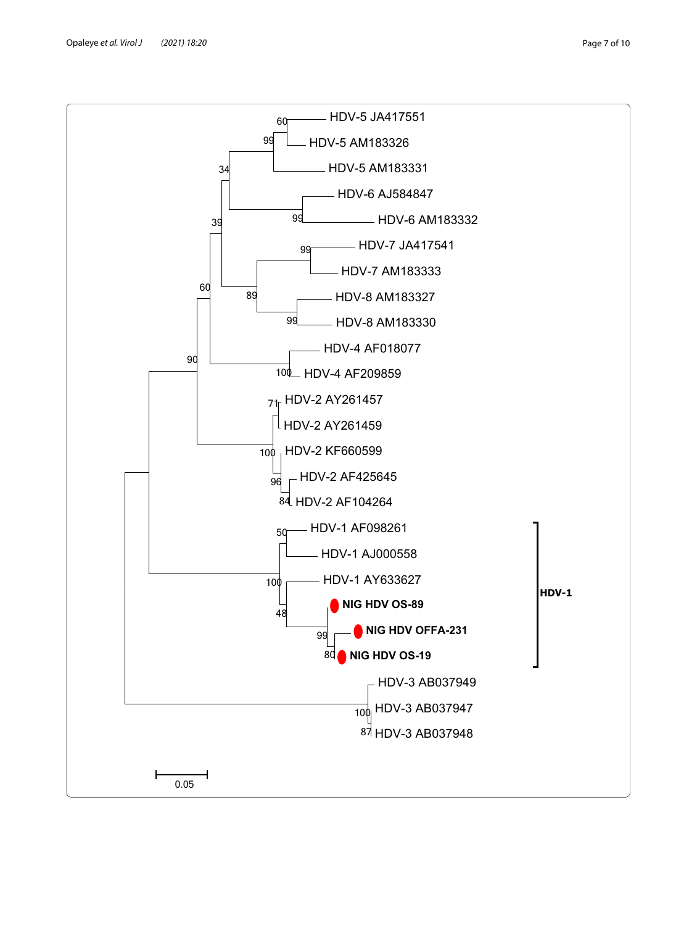Opaleye *et al. Virol J (2021) 18:20* Page 7 of 10

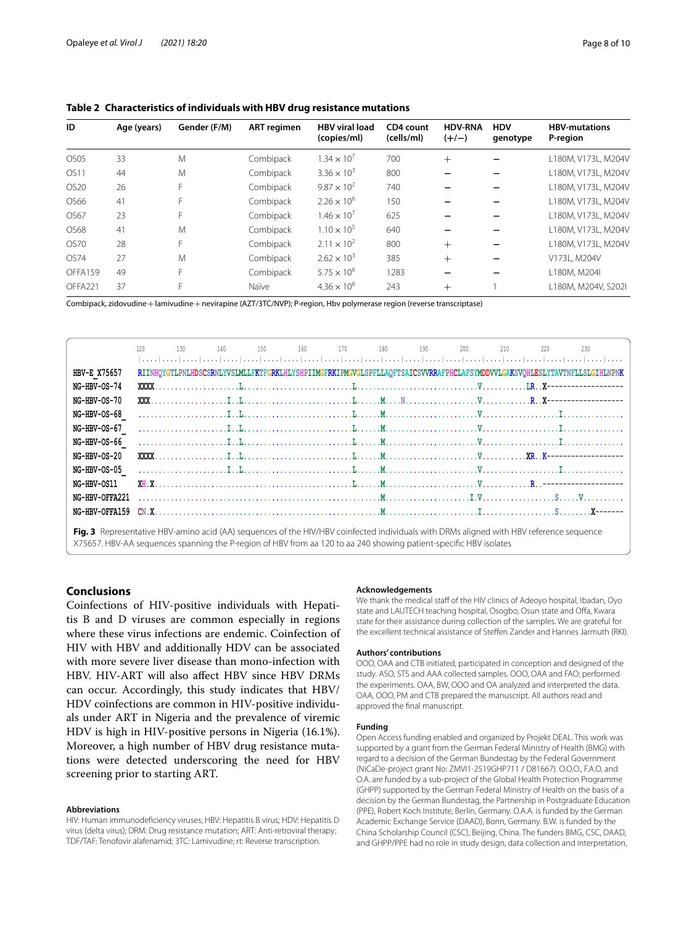| ID   | Age (years) | Gender (F/M) | <b>ART</b> regimen | <b>HBV</b> viral load<br>(copies/ml) | CD4 count<br>(cells/ml) | <b>HDV-RNA</b><br>$(+/-)$ | <b>HDV</b><br>genotype | <b>HBV-mutations</b><br>P-region |
|------|-------------|--------------|--------------------|--------------------------------------|-------------------------|---------------------------|------------------------|----------------------------------|
| OS05 | 33          | M            | Combipack          | $1.34 \times 10^{7}$                 | 700                     | $^{+}$                    |                        | L180M, V173L, M204V              |
| OS11 | 44          | M            | Combipack          | $3.36 \times 10^{3}$                 | 800                     |                           |                        | L180M, V173L, M204V              |
| OS20 | 26          |              | Combipack          | $9.87 \times 10^{2}$                 | 740                     |                           |                        | L180M, V173L, M204V              |
| OS66 | 41          |              | Combipack          | $2.26 \times 10^{6}$                 | 150                     |                           |                        | L180M, V173L, M204V              |
| OS67 | 23          |              | Combipack          | $1.46 \times 10^{7}$                 | 625                     |                           |                        | L180M, V173L, M204V              |
| OS68 | 41          | M            | Combipack          | $1.10 \times 10^{5}$                 | 640                     |                           |                        | L180M, V173L, M204V              |
| OS70 | 28          |              | Combipack          | $2.11 \times 10^{2}$                 | 800                     | $^+$                      |                        | L180M, V173L, M204V              |
|      |             |              |                    |                                      |                         |                           |                        |                                  |

OS74 <sup>27</sup> <sup>M</sup> Combipack 2.62×103 <sup>385</sup> <sup>+</sup> **<sup>−</sup>** V173L, M204V OFFA159 <sup>49</sup> <sup>F</sup> Combipack 5.75×106 <sup>1283</sup> **<sup>−</sup> <sup>−</sup>** L180M, M204I OFFA221 37 F Naïve  $4.36 \times 10^6$  243 + 1 L180M, M204V, S202

<span id="page-7-0"></span>**Table 2 Characteristics of individuals with HBV drug resistance mutations**

Combipack, zidovudine+lamivudine+nevirapine (AZT/3TC/NVP); P-region, Hbv polymerase region (reverse transcriptase)

|                                                                                                                                                                                                                                                              | 120 | 130 | 140 | 150 | 160 | 170 | 180 | 190 | 200 | 210 | 220 | 230                                                                                                                                                                                                                                                                                                                                                                                                                                                                             |
|--------------------------------------------------------------------------------------------------------------------------------------------------------------------------------------------------------------------------------------------------------------|-----|-----|-----|-----|-----|-----|-----|-----|-----|-----|-----|---------------------------------------------------------------------------------------------------------------------------------------------------------------------------------------------------------------------------------------------------------------------------------------------------------------------------------------------------------------------------------------------------------------------------------------------------------------------------------|
|                                                                                                                                                                                                                                                              |     |     |     |     |     |     |     |     |     |     |     |                                                                                                                                                                                                                                                                                                                                                                                                                                                                                 |
| HBV-E X75657                                                                                                                                                                                                                                                 |     |     |     |     |     |     |     |     |     |     |     | RIINHOYGTLPNLHDSCSRNLYVSLMLLFKTFGRKLHLYSHPIIMGFRKIPMGVGLSPFLLAOFTSAICSVVRRAFPHCLAFSYMDDVVLGAKSVOHLESLYTAVTNFLLSLGIHLNPNK                                                                                                                                                                                                                                                                                                                                                        |
| NG-HBV-OS-74                                                                                                                                                                                                                                                 |     |     |     |     |     |     |     |     |     |     |     |                                                                                                                                                                                                                                                                                                                                                                                                                                                                                 |
| NG-HBV-0S-70                                                                                                                                                                                                                                                 |     |     |     |     |     |     |     |     |     |     |     |                                                                                                                                                                                                                                                                                                                                                                                                                                                                                 |
| NG-HBV-0S-68                                                                                                                                                                                                                                                 |     |     |     |     |     |     |     |     |     |     |     | $\ldots \ldots \ldots \ldots \ldots \text{I} \ldots \text{I} \ldots \ldots \ldots \ldots \ldots \ldots \ldots \text{I} \ldots \ldots \text{I} \ldots \ldots \text{I} \ldots \ldots \ldots \ldots \text{I} \ldots \text{I} \ldots \ldots \text{I} \ldots \ldots \ldots \text{I} \ldots \ldots \text{I} \ldots \ldots \text{I} \ldots \ldots \text{I} \ldots \ldots \text{I} \ldots \text{I} \ldots \text{I} \ldots \text{I} \ldots \text{I} \ldots \text{I} \ldots \text{I} \ld$ |
| NG-HBV-OS-67                                                                                                                                                                                                                                                 |     |     |     |     |     |     |     |     |     |     |     |                                                                                                                                                                                                                                                                                                                                                                                                                                                                                 |
| NG-HBV-0S-66                                                                                                                                                                                                                                                 |     |     |     |     |     |     |     |     |     |     |     |                                                                                                                                                                                                                                                                                                                                                                                                                                                                                 |
| NG-HBV-0S-20                                                                                                                                                                                                                                                 |     |     |     |     |     |     |     |     |     |     |     |                                                                                                                                                                                                                                                                                                                                                                                                                                                                                 |
| NG-HBV-OS-05                                                                                                                                                                                                                                                 |     |     |     |     |     |     |     |     |     |     |     |                                                                                                                                                                                                                                                                                                                                                                                                                                                                                 |
| NG-HBV-OS11                                                                                                                                                                                                                                                  |     |     |     |     |     |     |     |     |     |     |     |                                                                                                                                                                                                                                                                                                                                                                                                                                                                                 |
| NG-HBV-OFFA221                                                                                                                                                                                                                                               |     |     |     |     |     |     |     |     |     |     |     |                                                                                                                                                                                                                                                                                                                                                                                                                                                                                 |
| NG-HBV-OFFA159                                                                                                                                                                                                                                               |     |     |     |     |     |     |     |     |     |     |     |                                                                                                                                                                                                                                                                                                                                                                                                                                                                                 |
| Fig. 3 Representative HBV-amino acid (AA) sequences of the HIV/HBV coinfected individuals with DRMs aligned with HBV reference sequence<br>X75657. HBV-AA sequences spanning the P-region of HBV from aa 120 to aa 240 showing patient-specific HBV isolates |     |     |     |     |     |     |     |     |     |     |     |                                                                                                                                                                                                                                                                                                                                                                                                                                                                                 |

# <span id="page-7-1"></span>**Conclusions**

Coinfections of HIV-positive individuals with Hepatitis B and D viruses are common especially in regions where these virus infections are endemic. Coinfection of HIV with HBV and additionally HDV can be associated with more severe liver disease than mono-infection with HBV. HIV-ART will also afect HBV since HBV DRMs can occur. Accordingly, this study indicates that HBV/ HDV coinfections are common in HIV-positive individuals under ART in Nigeria and the prevalence of viremic HDV is high in HIV-positive persons in Nigeria (16.1%). Moreover, a high number of HBV drug resistance mutations were detected underscoring the need for HBV screening prior to starting ART.

#### **Abbreviations**

HIV: Human immunodefciency viruses; HBV: Hepatitis B virus; HDV: Hepatitis D virus (delta virus); DRM: Drug resistance mutation; ART: Anti-retroviral therapy; TDF/TAF: Tenofovir alafenamid; 3TC: Lamivudine; rt: Reverse transcription.

#### **Acknowledgements**

We thank the medical staff of the HIV clinics of Adeoyo hospital, Ibadan, Oyo state and LAUTECH teaching hospital, Osogbo, Osun state and Offa, Kwara state for their assistance during collection of the samples. We are grateful for the excellent technical assistance of Stefen Zander and Hannes Jarmuth (RKI).

#### **Authors' contributions**

OOO, OAA and CTB initiated, participated in conception and designed of the study. ASO, STS and AAA collected samples. OOO, OAA and FAO; performed the experiments. OAA, BW, OOO and OA analyzed and interpreted the data. OAA, OOO, PM and CTB prepared the manuscript. All authors read and approved the fnal manuscript.

#### **Funding**

Open Access funding enabled and organized by Projekt DEAL. This work was supported by a grant from the German Federal Ministry of Health (BMG) with regard to a decision of the German Bundestag by the Federal Government (NiCaDe-project grant No: ZMVI1-2519GHP711 / D81667). O.O.O., F.A.O, and O.A. are funded by a sub-project of the Global Health Protection Programme (GHPP) supported by the German Federal Ministry of Health on the basis of a decision by the German Bundestag, the Partnership in Postgraduate Education (PPE), Robert Koch Institute, Berlin, Germany. O.A.A. is funded by the German Academic Exchange Service (DAAD), Bonn, Germany. B.W. is funded by the China Scholarship Council (CSC), Beijing, China. The funders BMG, CSC, DAAD, and GHPP/PPE had no role in study design, data collection and interpretation,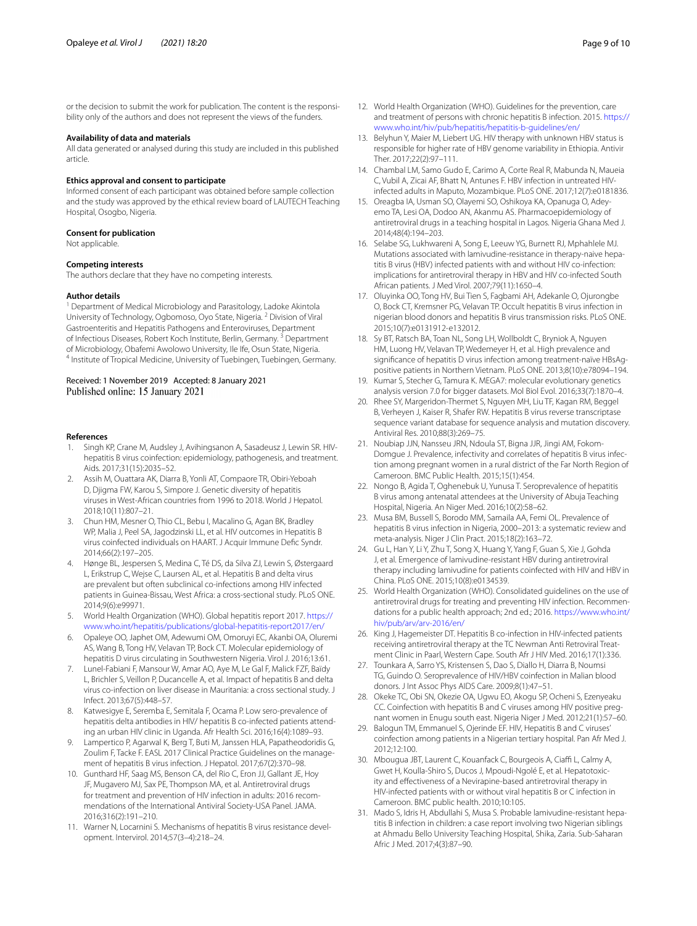or the decision to submit the work for publication. The content is the responsibility only of the authors and does not represent the views of the funders.

# **Availability of data and materials**

All data generated or analysed during this study are included in this published article.

#### **Ethics approval and consent to participate**

Informed consent of each participant was obtained before sample collection and the study was approved by the ethical review board of LAUTECH Teaching Hospital, Osogbo, Nigeria.

#### **Consent for publication**

Not applicable.

#### **Competing interests**

The authors declare that they have no competing interests.

#### **Author details**

<sup>1</sup> Department of Medical Microbiology and Parasitology, Ladoke Akintola University of Technology, Ogbomoso, Oyo State, Nigeria. <sup>2</sup> Division of Viral Gastroenteritis and Hepatitis Pathogens and Enteroviruses, Department of Infectious Diseases, Robert Koch Institute, Berlin, Germany.<sup>3</sup> Department of Microbiology, Obafemi Awolowo University, Ile Ife, Osun State, Nigeria. <sup>4</sup> Institute of Tropical Medicine, University of Tuebingen, Tuebingen, Germany.

# Received: 1 November 2019 Accepted: 8 January 2021 Published online: 15 January 2021

#### **References**

- <span id="page-8-0"></span>1. Singh KP, Crane M, Audsley J, Avihingsanon A, Sasadeusz J, Lewin SR. HIVhepatitis B virus coinfection: epidemiology, pathogenesis, and treatment. Aids. 2017;31(15):2035–52.
- <span id="page-8-1"></span>2. Assih M, Ouattara AK, Diarra B, Yonli AT, Compaore TR, Obiri-Yeboah D, Djigma FW, Karou S, Simpore J. Genetic diversity of hepatitis viruses in West-African countries from 1996 to 2018. World J Hepatol. 2018;10(11):807–21.
- <span id="page-8-2"></span>3. Chun HM, Mesner O, Thio CL, Bebu I, Macalino G, Agan BK, Bradley WP, Malia J, Peel SA, Jagodzinski LL, et al. HIV outcomes in Hepatitis B virus coinfected individuals on HAART. J Acquir Immune Defc Syndr. 2014;66(2):197–205.
- <span id="page-8-3"></span>4. Hønge BL, Jespersen S, Medina C, Té DS, da Silva ZJ, Lewin S, Østergaard L, Erikstrup C, Wejse C, Laursen AL, et al. Hepatitis B and delta virus are prevalent but often subclinical co-infections among HIV infected patients in Guinea-Bissau, West Africa: a cross-sectional study. PLoS ONE. 2014;9(6):e99971.
- <span id="page-8-4"></span>5. World Health Organization (WHO). Global hepatitis report 2017. [https://](https://www.who.int/hepatitis/publications/global-hepatitis-report2017/en/) [www.who.int/hepatitis/publications/global-hepatitis-report2017/en/](https://www.who.int/hepatitis/publications/global-hepatitis-report2017/en/)
- <span id="page-8-16"></span>6. Opaleye OO, Japhet OM, Adewumi OM, Omoruyi EC, Akanbi OA, Oluremi AS, Wang B, Tong HV, Velavan TP, Bock CT. Molecular epidemiology of hepatitis D virus circulating in Southwestern Nigeria. Virol J. 2016;13:61.
- <span id="page-8-5"></span>7. Lunel-Fabiani F, Mansour W, Amar AO, Aye M, Le Gal F, Malick FZF, Baïdy L, Brichler S, Veillon P, Ducancelle A, et al. Impact of hepatitis B and delta virus co-infection on liver disease in Mauritania: a cross sectional study. J Infect. 2013;67(5):448–57.
- <span id="page-8-6"></span>8. Katwesigye E, Seremba E, Semitala F, Ocama P. Low sero-prevalence of hepatitis delta antibodies in HIV/ hepatitis B co-infected patients attending an urban HIV clinic in Uganda. Afr Health Sci. 2016;16(4):1089–93.
- <span id="page-8-7"></span>9. Lampertico P, Agarwal K, Berg T, Buti M, Janssen HLA, Papatheodoridis G, Zoulim F, Tacke F. EASL 2017 Clinical Practice Guidelines on the management of hepatitis B virus infection. J Hepatol. 2017;67(2):370–98.
- <span id="page-8-8"></span>10. Gunthard HF, Saag MS, Benson CA, del Rio C, Eron JJ, Gallant JE, Hoy JF, Mugavero MJ, Sax PE, Thompson MA, et al. Antiretroviral drugs for treatment and prevention of HIV infection in adults: 2016 recommendations of the International Antiviral Society-USA Panel. JAMA. 2016;316(2):191–210.
- <span id="page-8-9"></span>11. Warner N, Locarnini S. Mechanisms of hepatitis B virus resistance development. Intervirol. 2014;57(3–4):218–24.
- <span id="page-8-11"></span><span id="page-8-10"></span>13. Belyhun Y, Maier M, Liebert UG. HIV therapy with unknown HBV status is responsible for higher rate of HBV genome variability in Ethiopia. Antivir Ther. 2017;22(2):97–111.
- <span id="page-8-12"></span>14. Chambal LM, Samo Gudo E, Carimo A, Corte Real R, Mabunda N, Maueia C, Vubil A, Zicai AF, Bhatt N, Antunes F. HBV infection in untreated HIVinfected adults in Maputo, Mozambique. PLoS ONE. 2017;12(7):e0181836.
- <span id="page-8-13"></span>15. Oreagba IA, Usman SO, Olayemi SO, Oshikoya KA, Opanuga O, Adeyemo TA, Lesi OA, Dodoo AN, Akanmu AS. Pharmacoepidemiology of antiretroviral drugs in a teaching hospital in Lagos. Nigeria Ghana Med J. 2014;48(4):194–203.
- <span id="page-8-14"></span>16. Selabe SG, Lukhwareni A, Song E, Leeuw YG, Burnett RJ, Mphahlele MJ. Mutations associated with lamivudine-resistance in therapy-naive hepatitis B virus (HBV) infected patients with and without HIV co-infection: implications for antiretroviral therapy in HBV and HIV co-infected South African patients. J Med Virol. 2007;79(11):1650–4.
- <span id="page-8-15"></span>17. Oluyinka OO, Tong HV, Bui Tien S, Fagbami AH, Adekanle O, Ojurongbe O, Bock CT, Kremsner PG, Velavan TP. Occult hepatitis B virus infection in nigerian blood donors and hepatitis B virus transmission risks. PLoS ONE. 2015;10(7):e0131912-e132012.
- <span id="page-8-17"></span>18. Sy BT, Ratsch BA, Toan NL, Song LH, Wollboldt C, Bryniok A, Nguyen HM, Luong HV, Velavan TP, Wedemeyer H, et al. High prevalence and signifcance of hepatitis D virus infection among treatment-naïve HBsAgpositive patients in Northern Vietnam. PLoS ONE. 2013;8(10):e78094–194.
- <span id="page-8-18"></span>19. Kumar S, Stecher G, Tamura K. MEGA7: molecular evolutionary genetics analysis version 7.0 for bigger datasets. Mol Biol Evol. 2016;33(7):1870–4.
- <span id="page-8-19"></span>20. Rhee SY, Margeridon-Thermet S, Nguyen MH, Liu TF, Kagan RM, Beggel B, Verheyen J, Kaiser R, Shafer RW. Hepatitis B virus reverse transcriptase sequence variant database for sequence analysis and mutation discovery. Antiviral Res. 2010;88(3):269–75.
- <span id="page-8-20"></span>21. Noubiap JJN, Nansseu JRN, Ndoula ST, Bigna JJR, Jingi AM, Fokom-Domgue J. Prevalence, infectivity and correlates of hepatitis B virus infection among pregnant women in a rural district of the Far North Region of Cameroon. BMC Public Health. 2015;15(1):454.
- <span id="page-8-21"></span>22. Nongo B, Agida T, Oghenebuk U, Yunusa T. Seroprevalence of hepatitis B virus among antenatal attendees at the University of Abuja Teaching Hospital, Nigeria. An Niger Med. 2016;10(2):58–62.
- <span id="page-8-22"></span>23. Musa BM, Bussell S, Borodo MM, Samaila AA, Femi OL. Prevalence of hepatitis B virus infection in Nigeria, 2000–2013: a systematic review and meta-analysis. Niger J Clin Pract. 2015;18(2):163–72.
- <span id="page-8-23"></span>24. Gu L, Han Y, Li Y, Zhu T, Song X, Huang Y, Yang F, Guan S, Xie J, Gohda J, et al. Emergence of lamivudine-resistant HBV during antiretroviral therapy including lamivudine for patients coinfected with HIV and HBV in China. PLoS ONE. 2015;10(8):e0134539.
- <span id="page-8-24"></span>25. World Health Organization (WHO). Consolidated guidelines on the use of antiretroviral drugs for treating and preventing HIV infection. Recommendations for a public health approach; 2nd ed.; 2016. [https://www.who.int/](https://www.who.int/hiv/pub/arv/arv-2016/en/) [hiv/pub/arv/arv-2016/en/](https://www.who.int/hiv/pub/arv/arv-2016/en/)
- <span id="page-8-25"></span>26. King J, Hagemeister DT. Hepatitis B co-infection in HIV-infected patients receiving antiretroviral therapy at the TC Newman Anti Retroviral Treatment Clinic in Paarl, Western Cape. South Afr J HIV Med. 2016;17(1):336.
- <span id="page-8-26"></span>27. Tounkara A, Sarro YS, Kristensen S, Dao S, Diallo H, Diarra B, Noumsi TG, Guindo O. Seroprevalence of HIV/HBV coinfection in Malian blood donors. J Int Assoc Phys AIDS Care. 2009;8(1):47–51.
- <span id="page-8-27"></span>28. Okeke TC, Obi SN, Okezie OA, Ugwu EO, Akogu SP, Ocheni S, Ezenyeaku CC. Coinfection with hepatitis B and C viruses among HIV positive pregnant women in Enugu south east. Nigeria Niger J Med. 2012;21(1):57–60.
- <span id="page-8-28"></span>29. Balogun TM, Emmanuel S, Ojerinde EF. HIV, Hepatitis B and C viruses' coinfection among patients in a Nigerian tertiary hospital. Pan Afr Med J. 2012;12:100.
- <span id="page-8-29"></span>30. Mbougua JBT, Laurent C, Kouanfack C, Bourgeois A, Ciaffi L, Calmy A, Gwet H, Koulla-Shiro S, Ducos J, Mpoudi-Ngolé E, et al. Hepatotoxicity and efectiveness of a Nevirapine-based antiretroviral therapy in HIV-infected patients with or without viral hepatitis B or C infection in Cameroon. BMC public health. 2010;10:105.
- <span id="page-8-30"></span>31. Mado S, Idris H, Abdullahi S, Musa S. Probable lamivudine-resistant hepatitis B infection in children: a case report involving two Nigerian siblings at Ahmadu Bello University Teaching Hospital, Shika, Zaria. Sub-Saharan Afric J Med. 2017;4(3):87–90.